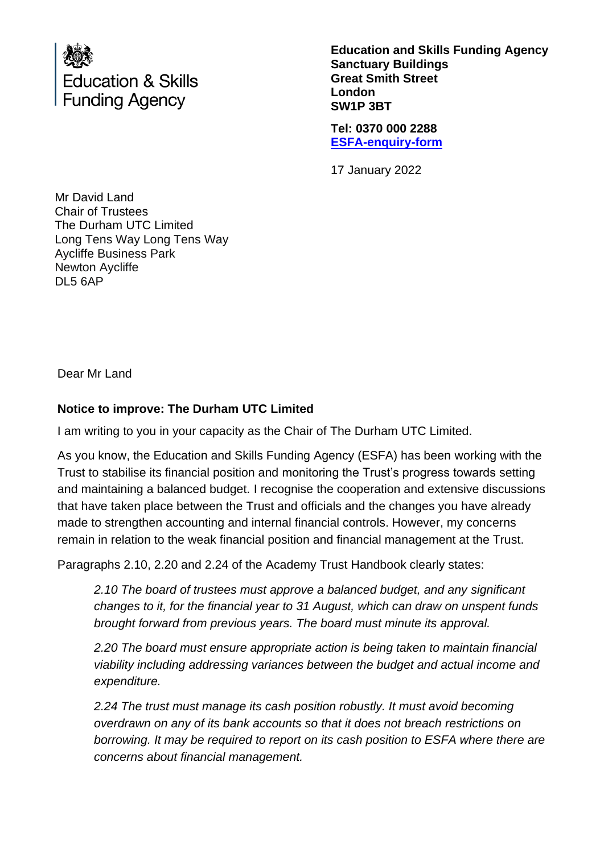

**Education and Skills Funding Agency Sanctuary Buildings Great Smith Street London SW1P 3BT**

**Tel: 0370 000 2288 [ESFA-enquiry-form](http://www.education.gov.uk/efa-enquiry-form)**

17 January 2022

Mr David Land Chair of Trustees The Durham UTC Limited Long Tens Way Long Tens Way Aycliffe Business Park Newton Aycliffe DL5 6AP

Dear Mr Land

# **Notice to improve: The Durham UTC Limited**

I am writing to you in your capacity as the Chair of The Durham UTC Limited.

As you know, the Education and Skills Funding Agency (ESFA) has been working with the Trust to stabilise its financial position and monitoring the Trust's progress towards setting and maintaining a balanced budget. I recognise the cooperation and extensive discussions that have taken place between the Trust and officials and the changes you have already made to strengthen accounting and internal financial controls. However, my concerns remain in relation to the weak financial position and financial management at the Trust.

Paragraphs 2.10, 2.20 and 2.24 of the Academy Trust Handbook clearly states:

*2.10 The board of trustees must approve a balanced budget, and any significant changes to it, for the financial year to 31 August, which can draw on unspent funds brought forward from previous years. The board must minute its approval.*

*2.20 The board must ensure appropriate action is being taken to maintain financial viability including addressing variances between the budget and actual income and expenditure.*

*2.24 The trust must manage its cash position robustly. It must avoid becoming overdrawn on any of its bank accounts so that it does not breach restrictions on borrowing. It may be required to report on its cash position to ESFA where there are concerns about financial management.*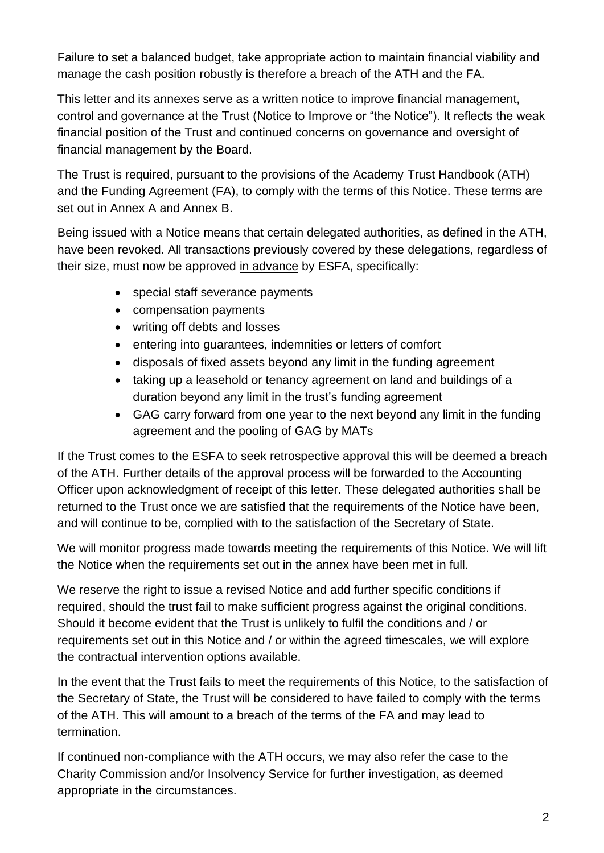Failure to set a balanced budget, take appropriate action to maintain financial viability and manage the cash position robustly is therefore a breach of the ATH and the FA.

This letter and its annexes serve as a written notice to improve financial management, control and governance at the Trust (Notice to Improve or "the Notice"). It reflects the weak financial position of the Trust and continued concerns on governance and oversight of financial management by the Board.

The Trust is required, pursuant to the provisions of the Academy Trust Handbook (ATH) and the Funding Agreement (FA), to comply with the terms of this Notice. These terms are set out in Annex A and Annex B.

Being issued with a Notice means that certain delegated authorities, as defined in the ATH, have been revoked. All transactions previously covered by these delegations, regardless of their size, must now be approved in advance by ESFA, specifically:

- special staff severance payments
- compensation payments
- writing off debts and losses
- entering into guarantees, indemnities or letters of comfort
- disposals of fixed assets beyond any limit in the funding agreement
- taking up a leasehold or tenancy agreement on land and buildings of a duration beyond any limit in the trust's funding agreement
- GAG carry forward from one year to the next beyond any limit in the funding agreement and the pooling of GAG by MATs

If the Trust comes to the ESFA to seek retrospective approval this will be deemed a breach of the ATH. Further details of the approval process will be forwarded to the Accounting Officer upon acknowledgment of receipt of this letter. These delegated authorities shall be returned to the Trust once we are satisfied that the requirements of the Notice have been, and will continue to be, complied with to the satisfaction of the Secretary of State.

We will monitor progress made towards meeting the requirements of this Notice. We will lift the Notice when the requirements set out in the annex have been met in full.

We reserve the right to issue a revised Notice and add further specific conditions if required, should the trust fail to make sufficient progress against the original conditions. Should it become evident that the Trust is unlikely to fulfil the conditions and / or requirements set out in this Notice and / or within the agreed timescales, we will explore the contractual intervention options available.

In the event that the Trust fails to meet the requirements of this Notice, to the satisfaction of the Secretary of State, the Trust will be considered to have failed to comply with the terms of the ATH. This will amount to a breach of the terms of the FA and may lead to termination.

If continued non-compliance with the ATH occurs, we may also refer the case to the Charity Commission and/or Insolvency Service for further investigation, as deemed appropriate in the circumstances.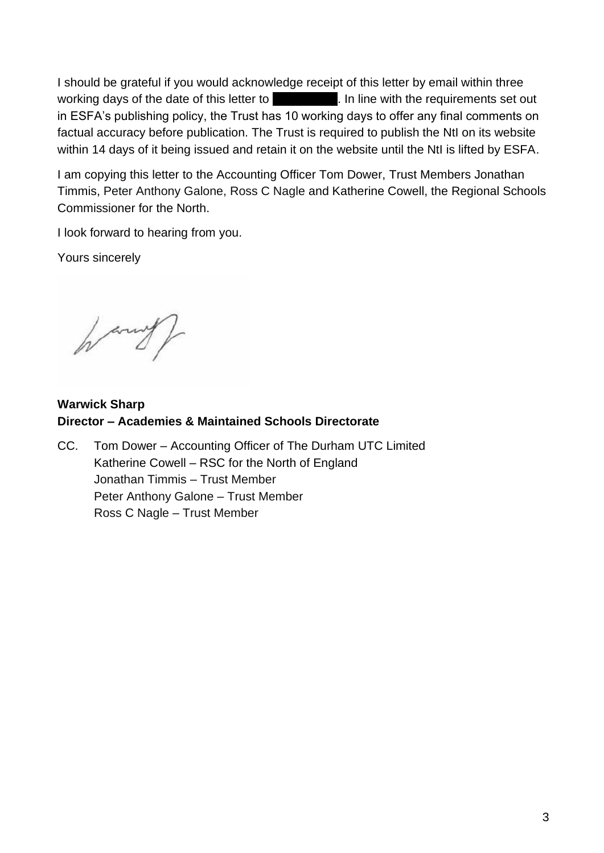I should be grateful if you would acknowledge receipt of this letter by email within three working days of the date of this letter to **All and Taylor 1.** In line with the requirements set out in ESFA's publishing policy, the Trust has 10 working days to offer any final comments on factual accuracy before publication. The Trust is required to publish the NtI on its website within 14 days of it being issued and retain it on the website until the NtI is lifted by ESFA.

I am copying this letter to the Accounting Officer Tom Dower, Trust Members Jonathan Timmis, Peter Anthony Galone, Ross C Nagle and Katherine Cowell, the Regional Schools Commissioner for the North.

I look forward to hearing from you.

Yours sincerely

**Warwick Sharp Director – Academies & Maintained Schools Directorate** 

CC. Tom Dower – Accounting Officer of The Durham UTC Limited Katherine Cowell – RSC for the North of England Jonathan Timmis – Trust Member Peter Anthony Galone – Trust Member Ross C Nagle – Trust Member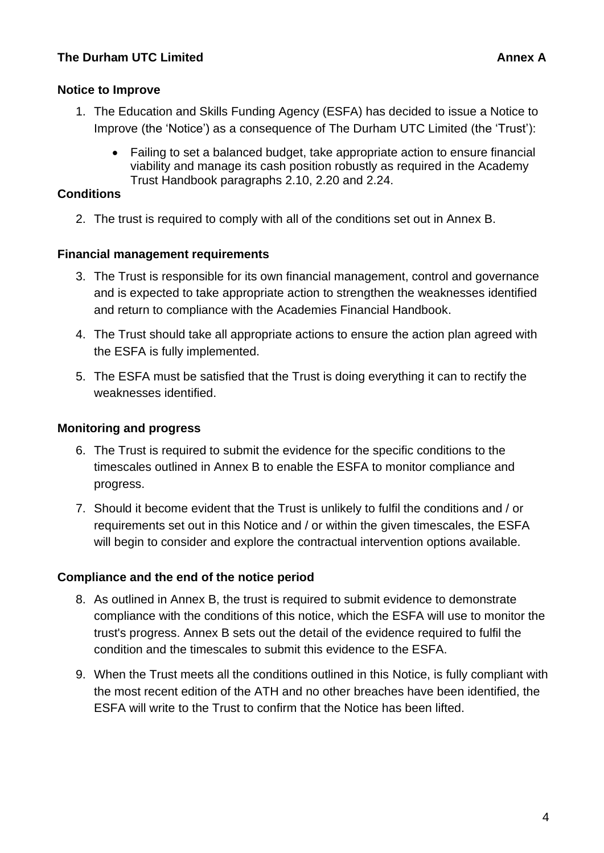# **Notice to Improve**

- 1. The Education and Skills Funding Agency (ESFA) has decided to issue a Notice to Improve (the 'Notice') as a consequence of The Durham UTC Limited (the 'Trust'):
	- Failing to set a balanced budget, take appropriate action to ensure financial viability and manage its cash position robustly as required in the Academy Trust Handbook paragraphs 2.10, 2.20 and 2.24.

# **Conditions**

2. The trust is required to comply with all of the conditions set out in Annex B.

# **Financial management requirements**

- 3. The Trust is responsible for its own financial management, control and governance and is expected to take appropriate action to strengthen the weaknesses identified and return to compliance with the Academies Financial Handbook.
- 4. The Trust should take all appropriate actions to ensure the action plan agreed with the ESFA is fully implemented.
- 5. The ESFA must be satisfied that the Trust is doing everything it can to rectify the weaknesses identified.

### **Monitoring and progress**

- 6. The Trust is required to submit the evidence for the specific conditions to the timescales outlined in Annex B to enable the ESFA to monitor compliance and progress.
- 7. Should it become evident that the Trust is unlikely to fulfil the conditions and / or requirements set out in this Notice and / or within the given timescales, the ESFA will begin to consider and explore the contractual intervention options available.

### **Compliance and the end of the notice period**

- 8. As outlined in Annex B, the trust is required to submit evidence to demonstrate compliance with the conditions of this notice, which the ESFA will use to monitor the trust's progress. Annex B sets out the detail of the evidence required to fulfil the condition and the timescales to submit this evidence to the ESFA.
- 9. When the Trust meets all the conditions outlined in this Notice, is fully compliant with the most recent edition of the ATH and no other breaches have been identified, the ESFA will write to the Trust to confirm that the Notice has been lifted.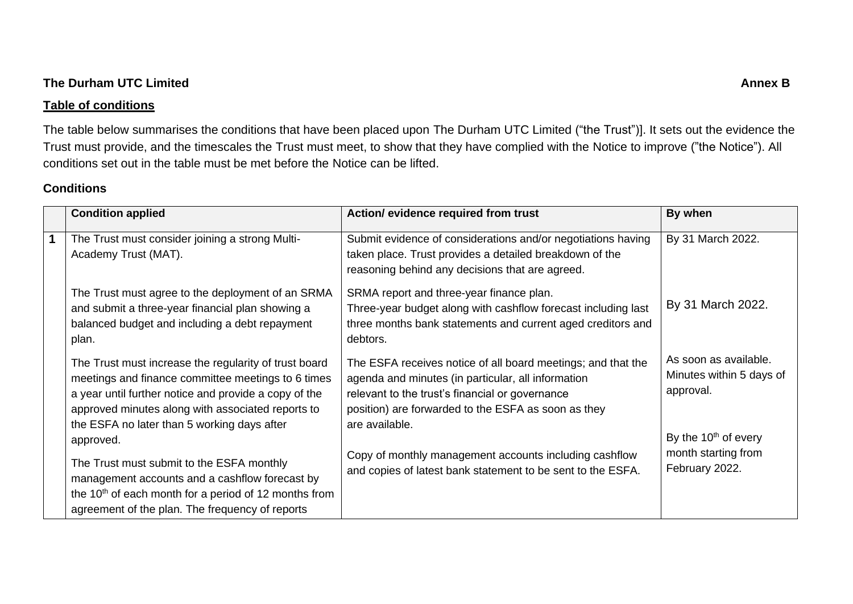#### **The Durham UTC Limited Annex B**

#### **Table of conditions**

The table below summarises the conditions that have been placed upon The Durham UTC Limited ("the Trust")]. It sets out the evidence the Trust must provide, and the timescales the Trust must meet, to show that they have complied with the Notice to improve ("the Notice"). All conditions set out in the table must be met before the Notice can be lifted.

### **Conditions**

|                      | <b>Condition applied</b>                                                                                                                                                                                                                                                 | Action/ evidence required from trust                                                                                                                                                                                                           | By when                                                         |
|----------------------|--------------------------------------------------------------------------------------------------------------------------------------------------------------------------------------------------------------------------------------------------------------------------|------------------------------------------------------------------------------------------------------------------------------------------------------------------------------------------------------------------------------------------------|-----------------------------------------------------------------|
| $\blacktriangleleft$ | The Trust must consider joining a strong Multi-<br>Academy Trust (MAT).                                                                                                                                                                                                  | Submit evidence of considerations and/or negotiations having<br>taken place. Trust provides a detailed breakdown of the<br>reasoning behind any decisions that are agreed.                                                                     | By 31 March 2022.                                               |
|                      | The Trust must agree to the deployment of an SRMA<br>and submit a three-year financial plan showing a<br>balanced budget and including a debt repayment<br>plan.                                                                                                         | SRMA report and three-year finance plan.<br>Three-year budget along with cashflow forecast including last<br>three months bank statements and current aged creditors and<br>debtors.                                                           | By 31 March 2022.                                               |
|                      | The Trust must increase the regularity of trust board<br>meetings and finance committee meetings to 6 times<br>a year until further notice and provide a copy of the<br>approved minutes along with associated reports to<br>the ESFA no later than 5 working days after | The ESFA receives notice of all board meetings; and that the<br>agenda and minutes (in particular, all information<br>relevant to the trust's financial or governance<br>position) are forwarded to the ESFA as soon as they<br>are available. | As soon as available.<br>Minutes within 5 days of<br>approval.  |
|                      | approved.<br>The Trust must submit to the ESFA monthly<br>management accounts and a cashflow forecast by<br>the 10 <sup>th</sup> of each month for a period of 12 months from<br>agreement of the plan. The frequency of reports                                         | Copy of monthly management accounts including cashflow<br>and copies of latest bank statement to be sent to the ESFA.                                                                                                                          | By the $10th$ of every<br>month starting from<br>February 2022. |